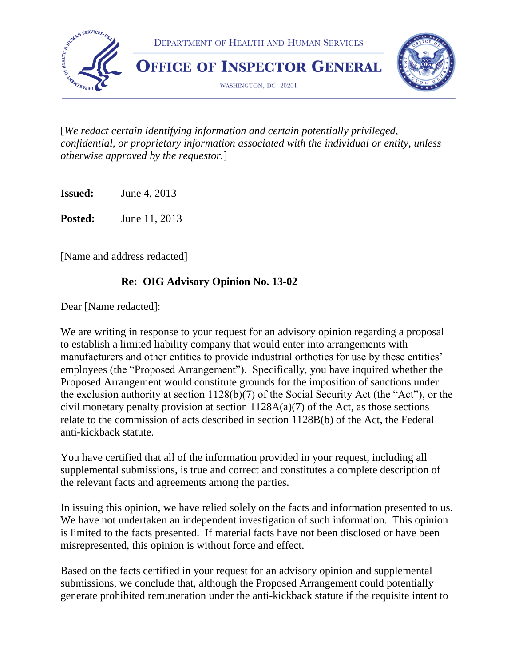

[*We redact certain identifying information and certain potentially privileged, confidential, or proprietary information associated with the individual or entity, unless otherwise approved by the requestor.*]

**Issued:** June 4, 2013

**Posted:** June 11, 2013

[Name and address redacted]

### **Re: OIG Advisory Opinion No. 13-02**

Dear [Name redacted]:

We are writing in response to your request for an advisory opinion regarding a proposal to establish a limited liability company that would enter into arrangements with manufacturers and other entities to provide industrial orthotics for use by these entities' employees (the "Proposed Arrangement"). Specifically, you have inquired whether the Proposed Arrangement would constitute grounds for the imposition of sanctions under the exclusion authority at section 1128(b)(7) of the Social Security Act (the "Act"), or the civil monetary penalty provision at section  $1128A(a)(7)$  of the Act, as those sections relate to the commission of acts described in section 1128B(b) of the Act, the Federal anti-kickback statute.

You have certified that all of the information provided in your request, including all supplemental submissions, is true and correct and constitutes a complete description of the relevant facts and agreements among the parties.

In issuing this opinion, we have relied solely on the facts and information presented to us. We have not undertaken an independent investigation of such information. This opinion is limited to the facts presented. If material facts have not been disclosed or have been misrepresented, this opinion is without force and effect.

Based on the facts certified in your request for an advisory opinion and supplemental submissions, we conclude that, although the Proposed Arrangement could potentially generate prohibited remuneration under the anti-kickback statute if the requisite intent to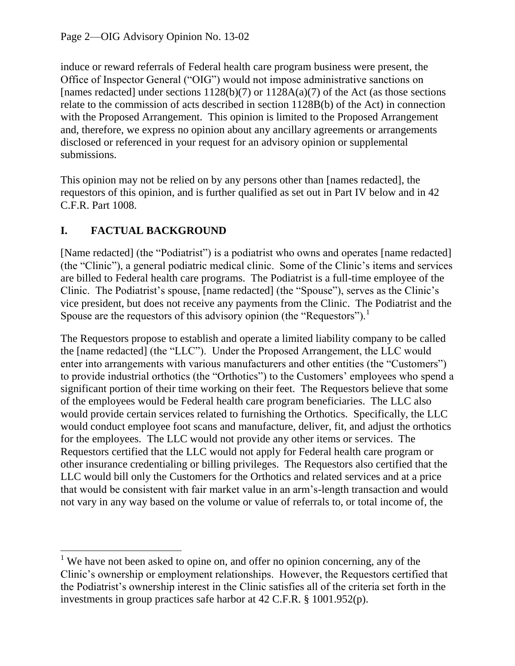induce or reward referrals of Federal health care program business were present, the Office of Inspector General ("OIG") would not impose administrative sanctions on [names redacted] under sections  $1128(b)(7)$  or  $1128A(a)(7)$  of the Act (as those sections relate to the commission of acts described in section 1128B(b) of the Act) in connection with the Proposed Arrangement. This opinion is limited to the Proposed Arrangement and, therefore, we express no opinion about any ancillary agreements or arrangements disclosed or referenced in your request for an advisory opinion or supplemental submissions.

This opinion may not be relied on by any persons other than [names redacted], the requestors of this opinion, and is further qualified as set out in Part IV below and in 42 C.F.R. Part 1008.

# **I. FACTUAL BACKGROUND**

[Name redacted] (the "Podiatrist") is a podiatrist who owns and operates [name redacted] (the "Clinic"), a general podiatric medical clinic. Some of the Clinic's items and services are billed to Federal health care programs. The Podiatrist is a full-time employee of the Clinic. The Podiatrist's spouse, [name redacted] (the "Spouse"), serves as the Clinic's vice president, but does not receive any payments from the Clinic. The Podiatrist and the Spouse are the requestors of this advisory opinion (the "Requestors").<sup>1</sup>

The Requestors propose to establish and operate a limited liability company to be called the [name redacted] (the "LLC"). Under the Proposed Arrangement, the LLC would enter into arrangements with various manufacturers and other entities (the "Customers") to provide industrial orthotics (the "Orthotics") to the Customers' employees who spend a significant portion of their time working on their feet. The Requestors believe that some of the employees would be Federal health care program beneficiaries. The LLC also would provide certain services related to furnishing the Orthotics. Specifically, the LLC would conduct employee foot scans and manufacture, deliver, fit, and adjust the orthotics for the employees. The LLC would not provide any other items or services. The Requestors certified that the LLC would not apply for Federal health care program or other insurance credentialing or billing privileges. The Requestors also certified that the LLC would bill only the Customers for the Orthotics and related services and at a price that would be consistent with fair market value in an arm's-length transaction and would not vary in any way based on the volume or value of referrals to, or total income of, the

 $\overline{\phantom{a}}$ <sup>1</sup> We have not been asked to opine on, and offer no opinion concerning, any of the Clinic's ownership or employment relationships. However, the Requestors certified that the Podiatrist's ownership interest in the Clinic satisfies all of the criteria set forth in the investments in group practices safe harbor at 42 C.F.R. § 1001.952(p).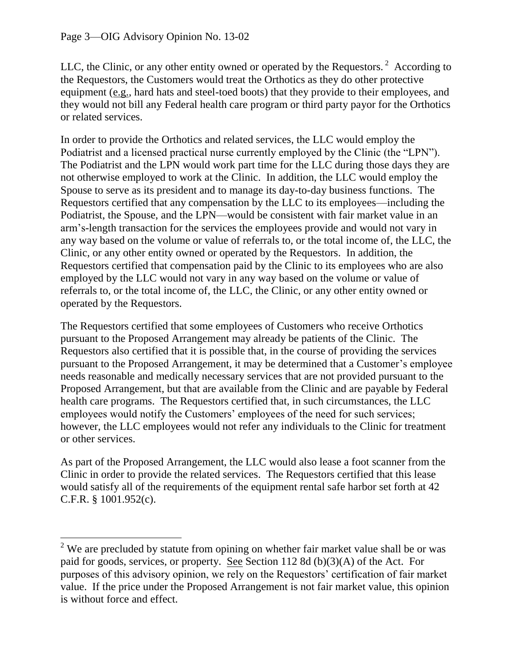$\overline{\phantom{a}}$ 

LLC, the Clinic, or any other entity owned or operated by the Requestors.<sup>2</sup> According to the Requestors, the Customers would treat the Orthotics as they do other protective equipment (e.g., hard hats and steel-toed boots) that they provide to their employees, and they would not bill any Federal health care program or third party payor for the Orthotics or related services.

In order to provide the Orthotics and related services, the LLC would employ the Podiatrist and a licensed practical nurse currently employed by the Clinic (the "LPN"). The Podiatrist and the LPN would work part time for the LLC during those days they are not otherwise employed to work at the Clinic. In addition, the LLC would employ the Spouse to serve as its president and to manage its day-to-day business functions. The Requestors certified that any compensation by the LLC to its employees—including the Podiatrist, the Spouse, and the LPN—would be consistent with fair market value in an arm's-length transaction for the services the employees provide and would not vary in any way based on the volume or value of referrals to, or the total income of, the LLC, the Clinic, or any other entity owned or operated by the Requestors. In addition, the Requestors certified that compensation paid by the Clinic to its employees who are also employed by the LLC would not vary in any way based on the volume or value of referrals to, or the total income of, the LLC, the Clinic, or any other entity owned or operated by the Requestors.

The Requestors certified that some employees of Customers who receive Orthotics pursuant to the Proposed Arrangement may already be patients of the Clinic. The Requestors also certified that it is possible that, in the course of providing the services pursuant to the Proposed Arrangement, it may be determined that a Customer's employee needs reasonable and medically necessary services that are not provided pursuant to the Proposed Arrangement, but that are available from the Clinic and are payable by Federal health care programs. The Requestors certified that, in such circumstances, the LLC employees would notify the Customers' employees of the need for such services; however, the LLC employees would not refer any individuals to the Clinic for treatment or other services.

As part of the Proposed Arrangement, the LLC would also lease a foot scanner from the Clinic in order to provide the related services. The Requestors certified that this lease would satisfy all of the requirements of the equipment rental safe harbor set forth at 42 C.F.R. § 1001.952(c).

 $2$  We are precluded by statute from opining on whether fair market value shall be or was paid for goods, services, or property. See Section 112 8d (b)(3)(A) of the Act. For purposes of this advisory opinion, we rely on the Requestors' certification of fair market value. If the price under the Proposed Arrangement is not fair market value, this opinion is without force and effect.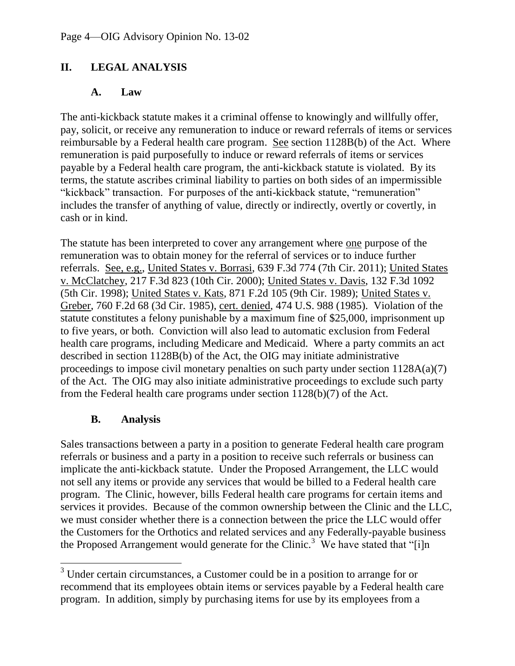### **II. LEGAL ANALYSIS**

#### **A. Law**

The anti-kickback statute makes it a criminal offense to knowingly and willfully offer, pay, solicit, or receive any remuneration to induce or reward referrals of items or services reimbursable by a Federal health care program. See section 1128B(b) of the Act. Where remuneration is paid purposefully to induce or reward referrals of items or services payable by a Federal health care program, the anti-kickback statute is violated. By its terms, the statute ascribes criminal liability to parties on both sides of an impermissible "kickback" transaction. For purposes of the anti-kickback statute, "remuneration" includes the transfer of anything of value, directly or indirectly, overtly or covertly, in cash or in kind.

The statute has been interpreted to cover any arrangement where one purpose of the remuneration was to obtain money for the referral of services or to induce further referrals. See, e.g., United States v. Borrasi, 639 F.3d 774 (7th Cir. 2011); United States v. McClatchey, 217 F.3d 823 (10th Cir. 2000); United States v. Davis, 132 F.3d 1092 (5th Cir. 1998); United States v. Kats, 871 F.2d 105 (9th Cir. 1989); United States v. Greber, 760 F.2d 68 (3d Cir. 1985), cert. denied, 474 U.S. 988 (1985). Violation of the statute constitutes a felony punishable by a maximum fine of \$25,000, imprisonment up to five years, or both. Conviction will also lead to automatic exclusion from Federal health care programs, including Medicare and Medicaid. Where a party commits an act described in section 1128B(b) of the Act, the OIG may initiate administrative proceedings to impose civil monetary penalties on such party under section 1128A(a)(7) of the Act. The OIG may also initiate administrative proceedings to exclude such party from the Federal health care programs under section 1128(b)(7) of the Act.

### **B. Analysis**

 $\overline{\phantom{a}}$ 

Sales transactions between a party in a position to generate Federal health care program referrals or business and a party in a position to receive such referrals or business can implicate the anti-kickback statute. Under the Proposed Arrangement, the LLC would not sell any items or provide any services that would be billed to a Federal health care program. The Clinic, however, bills Federal health care programs for certain items and services it provides. Because of the common ownership between the Clinic and the LLC, we must consider whether there is a connection between the price the LLC would offer the Customers for the Orthotics and related services and any Federally-payable business the Proposed Arrangement would generate for the Clinic.<sup>3</sup> We have stated that "[i]n

 $3$  Under certain circumstances, a Customer could be in a position to arrange for or recommend that its employees obtain items or services payable by a Federal health care program. In addition, simply by purchasing items for use by its employees from a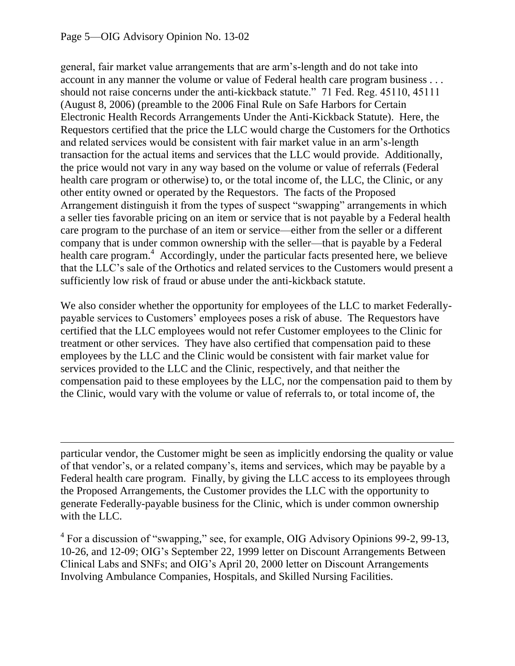#### Page 5—OIG Advisory Opinion No. 13-02

 $\overline{\phantom{a}}$ 

general, fair market value arrangements that are arm's-length and do not take into account in any manner the volume or value of Federal health care program business . . . should not raise concerns under the anti-kickback statute." 71 Fed. Reg. 45110, 45111 (August 8, 2006) (preamble to the 2006 Final Rule on Safe Harbors for Certain Electronic Health Records Arrangements Under the Anti-Kickback Statute). Here, the Requestors certified that the price the LLC would charge the Customers for the Orthotics and related services would be consistent with fair market value in an arm's-length transaction for the actual items and services that the LLC would provide. Additionally, the price would not vary in any way based on the volume or value of referrals (Federal health care program or otherwise) to, or the total income of, the LLC, the Clinic, or any other entity owned or operated by the Requestors. The facts of the Proposed Arrangement distinguish it from the types of suspect "swapping" arrangements in which a seller ties favorable pricing on an item or service that is not payable by a Federal health care program to the purchase of an item or service—either from the seller or a different company that is under common ownership with the seller—that is payable by a Federal health care program.<sup>4</sup> Accordingly, under the particular facts presented here, we believe that the LLC's sale of the Orthotics and related services to the Customers would present a sufficiently low risk of fraud or abuse under the anti-kickback statute.

We also consider whether the opportunity for employees of the LLC to market Federallypayable services to Customers' employees poses a risk of abuse. The Requestors have certified that the LLC employees would not refer Customer employees to the Clinic for treatment or other services. They have also certified that compensation paid to these employees by the LLC and the Clinic would be consistent with fair market value for services provided to the LLC and the Clinic, respectively, and that neither the compensation paid to these employees by the LLC, nor the compensation paid to them by the Clinic, would vary with the volume or value of referrals to, or total income of, the

particular vendor, the Customer might be seen as implicitly endorsing the quality or value of that vendor's, or a related company's, items and services, which may be payable by a Federal health care program. Finally, by giving the LLC access to its employees through the Proposed Arrangements, the Customer provides the LLC with the opportunity to generate Federally-payable business for the Clinic, which is under common ownership with the LLC.

<sup>4</sup> For a discussion of "swapping," see, for example, OIG Advisory Opinions 99-2, 99-13, 10-26, and 12-09; OIG's September 22, 1999 letter on Discount Arrangements Between Clinical Labs and SNFs; and OIG's April 20, 2000 letter on Discount Arrangements Involving Ambulance Companies, Hospitals, and Skilled Nursing Facilities.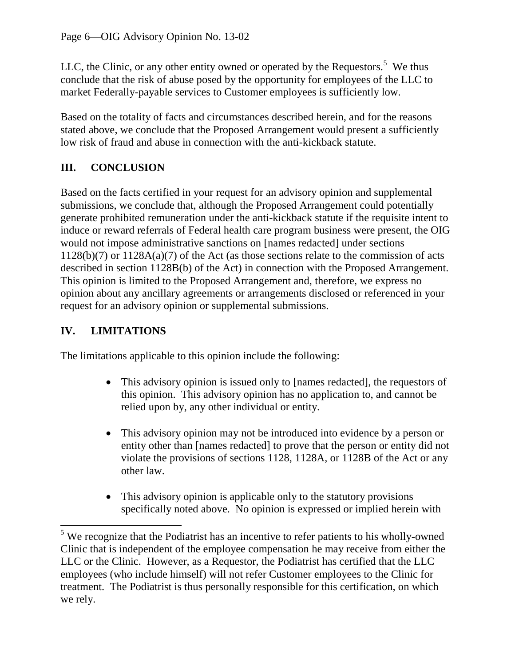LLC, the Clinic, or any other entity owned or operated by the Requestors.<sup>5</sup> We thus conclude that the risk of abuse posed by the opportunity for employees of the LLC to market Federally-payable services to Customer employees is sufficiently low.

Based on the totality of facts and circumstances described herein, and for the reasons stated above, we conclude that the Proposed Arrangement would present a sufficiently low risk of fraud and abuse in connection with the anti-kickback statute.

# **III. CONCLUSION**

Based on the facts certified in your request for an advisory opinion and supplemental submissions, we conclude that, although the Proposed Arrangement could potentially generate prohibited remuneration under the anti-kickback statute if the requisite intent to induce or reward referrals of Federal health care program business were present, the OIG would not impose administrative sanctions on [names redacted] under sections 1128(b)(7) or 1128A(a)(7) of the Act (as those sections relate to the commission of acts described in section 1128B(b) of the Act) in connection with the Proposed Arrangement. This opinion is limited to the Proposed Arrangement and, therefore, we express no opinion about any ancillary agreements or arrangements disclosed or referenced in your request for an advisory opinion or supplemental submissions.

# **IV. LIMITATIONS**

l

The limitations applicable to this opinion include the following:

- This advisory opinion is issued only to [names redacted], the requestors of this opinion. This advisory opinion has no application to, and cannot be relied upon by, any other individual or entity.
- This advisory opinion may not be introduced into evidence by a person or entity other than [names redacted] to prove that the person or entity did not violate the provisions of sections 1128, 1128A, or 1128B of the Act or any other law.
- This advisory opinion is applicable only to the statutory provisions specifically noted above. No opinion is expressed or implied herein with

 $5$  We recognize that the Podiatrist has an incentive to refer patients to his wholly-owned Clinic that is independent of the employee compensation he may receive from either the LLC or the Clinic. However, as a Requestor, the Podiatrist has certified that the LLC employees (who include himself) will not refer Customer employees to the Clinic for treatment. The Podiatrist is thus personally responsible for this certification, on which we rely.